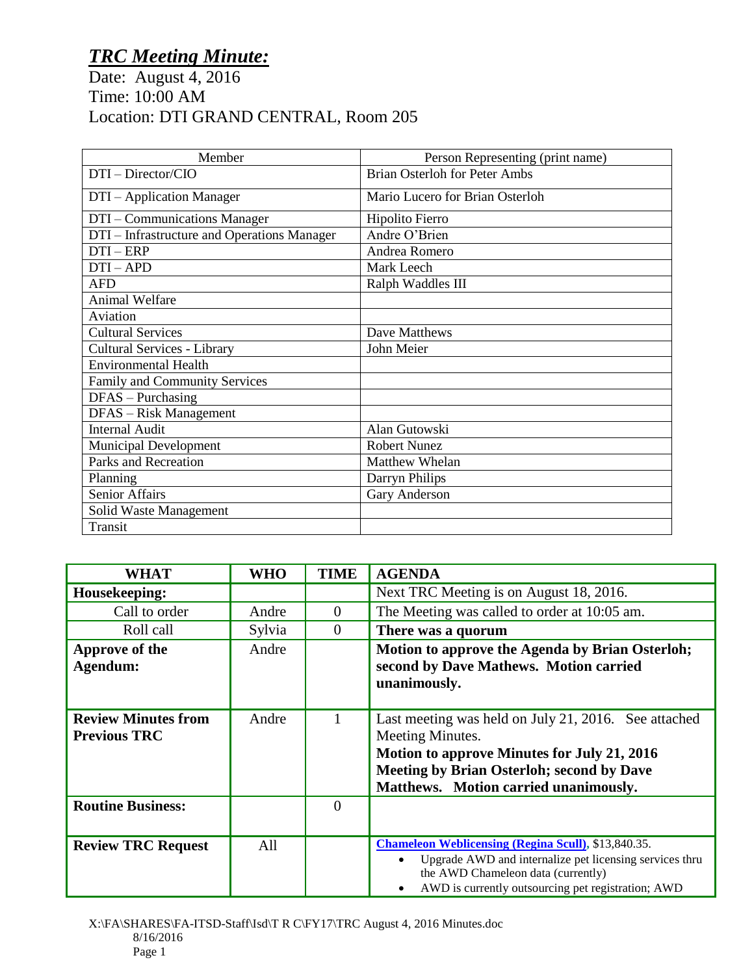## *TRC Meeting Minute:*

Date: August 4, 2016 Time: 10:00 AM Location: DTI GRAND CENTRAL, Room 205

| Member                                      | Person Representing (print name)     |
|---------------------------------------------|--------------------------------------|
| DTI - Director/CIO                          | <b>Brian Osterloh for Peter Ambs</b> |
| DTI – Application Manager                   | Mario Lucero for Brian Osterloh      |
| DTI - Communications Manager                | Hipolito Fierro                      |
| DTI – Infrastructure and Operations Manager | Andre O'Brien                        |
| $DTI - ERP$                                 | Andrea Romero                        |
| $DTI-APD$                                   | Mark Leech                           |
| <b>AFD</b>                                  | Ralph Waddles III                    |
| <b>Animal Welfare</b>                       |                                      |
| Aviation                                    |                                      |
| <b>Cultural Services</b>                    | Dave Matthews                        |
| Cultural Services - Library                 | John Meier                           |
| <b>Environmental Health</b>                 |                                      |
| Family and Community Services               |                                      |
| $DFAS - Purchasing$                         |                                      |
| DFAS - Risk Management                      |                                      |
| <b>Internal Audit</b>                       | Alan Gutowski                        |
| <b>Municipal Development</b>                | <b>Robert Nunez</b>                  |
| <b>Parks and Recreation</b>                 | Matthew Whelan                       |
| Planning                                    | Darryn Philips                       |
| <b>Senior Affairs</b>                       | Gary Anderson                        |
| Solid Waste Management                      |                                      |
| Transit                                     |                                      |

| <b>WHAT</b>                                       | <b>WHO</b> | <b>TIME</b> | <b>AGENDA</b>                                                                                                                                                                                                        |
|---------------------------------------------------|------------|-------------|----------------------------------------------------------------------------------------------------------------------------------------------------------------------------------------------------------------------|
| Housekeeping:                                     |            |             | Next TRC Meeting is on August 18, 2016.                                                                                                                                                                              |
| Call to order                                     | Andre      | $\Omega$    | The Meeting was called to order at 10:05 am.                                                                                                                                                                         |
| Roll call                                         | Sylvia     | $\theta$    | There was a quorum                                                                                                                                                                                                   |
| Approve of the<br>Agendum:                        | Andre      |             | Motion to approve the Agenda by Brian Osterloh;<br>second by Dave Mathews. Motion carried<br>unanimously.                                                                                                            |
| <b>Review Minutes from</b><br><b>Previous TRC</b> | Andre      |             | Last meeting was held on July 21, 2016. See attached<br>Meeting Minutes.<br>Motion to approve Minutes for July 21, 2016<br><b>Meeting by Brian Osterloh; second by Dave</b><br>Matthews. Motion carried unanimously. |
| <b>Routine Business:</b>                          |            | 0           |                                                                                                                                                                                                                      |
| <b>Review TRC Request</b>                         | All        |             | <b>Chameleon Weblicensing (Regina Scull), \$13,840.35.</b><br>Upgrade AWD and internalize pet licensing services thru<br>the AWD Chameleon data (currently)<br>AWD is currently outsourcing pet registration; AWD    |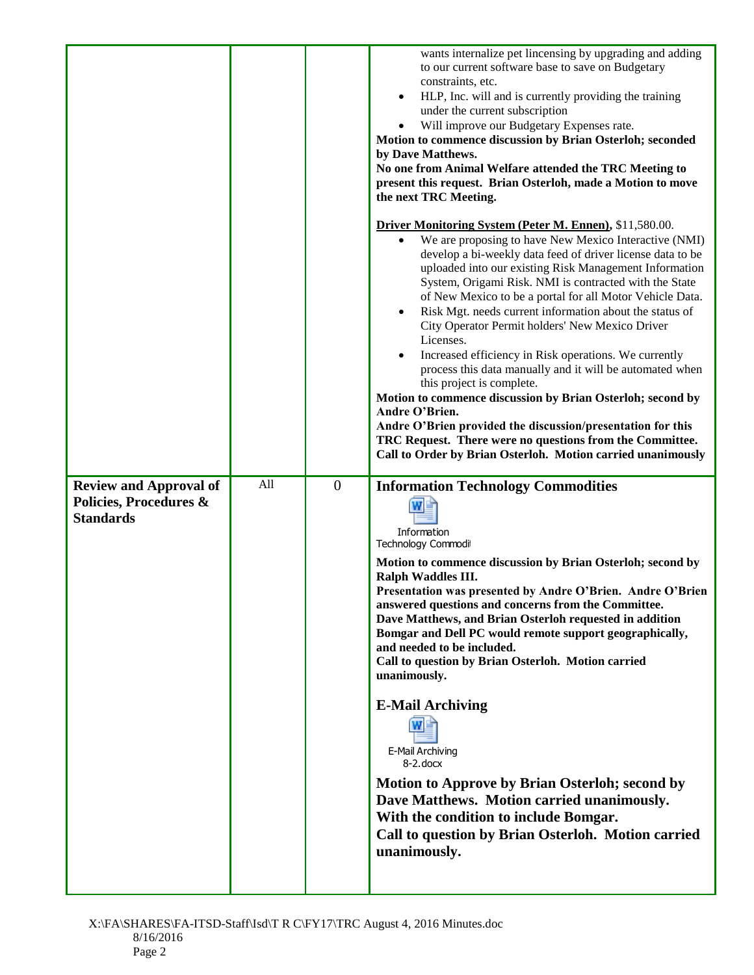|                                                                             |     |                | wants internalize pet lincensing by upgrading and adding<br>to our current software base to save on Budgetary<br>constraints, etc.<br>HLP, Inc. will and is currently providing the training<br>$\bullet$<br>under the current subscription<br>Will improve our Budgetary Expenses rate.<br>Motion to commence discussion by Brian Osterloh; seconded<br>by Dave Matthews.<br>No one from Animal Welfare attended the TRC Meeting to<br>present this request. Brian Osterloh, made a Motion to move<br>the next TRC Meeting.<br><b>Driver Monitoring System (Peter M. Ennen), \$11,580.00.</b><br>We are proposing to have New Mexico Interactive (NMI)<br>$\bullet$<br>develop a bi-weekly data feed of driver license data to be<br>uploaded into our existing Risk Management Information<br>System, Origami Risk. NMI is contracted with the State<br>of New Mexico to be a portal for all Motor Vehicle Data.<br>Risk Mgt. needs current information about the status of<br>$\bullet$<br>City Operator Permit holders' New Mexico Driver |
|-----------------------------------------------------------------------------|-----|----------------|-----------------------------------------------------------------------------------------------------------------------------------------------------------------------------------------------------------------------------------------------------------------------------------------------------------------------------------------------------------------------------------------------------------------------------------------------------------------------------------------------------------------------------------------------------------------------------------------------------------------------------------------------------------------------------------------------------------------------------------------------------------------------------------------------------------------------------------------------------------------------------------------------------------------------------------------------------------------------------------------------------------------------------------------------|
|                                                                             |     |                | Licenses.<br>Increased efficiency in Risk operations. We currently<br>process this data manually and it will be automated when<br>this project is complete.<br>Motion to commence discussion by Brian Osterloh; second by<br>Andre O'Brien.<br>Andre O'Brien provided the discussion/presentation for this<br>TRC Request. There were no questions from the Committee.<br>Call to Order by Brian Osterloh. Motion carried unanimously                                                                                                                                                                                                                                                                                                                                                                                                                                                                                                                                                                                                         |
| <b>Review and Approval of</b><br>Policies, Procedures &<br><b>Standards</b> | All | $\overline{0}$ | <b>Information Technology Commodities</b><br>Information<br><b>Technology Commodit</b><br>Motion to commence discussion by Brian Osterloh; second by<br>Ralph Waddles III.<br>Presentation was presented by Andre O'Brien. Andre O'Brien<br>answered questions and concerns from the Committee.<br>Dave Matthews, and Brian Osterloh requested in addition<br>Bomgar and Dell PC would remote support geographically,<br>and needed to be included.<br>Call to question by Brian Osterloh. Motion carried<br>unanimously.<br><b>E-Mail Archiving</b><br>E-Mail Archiving<br>$8-2$ , docx<br><b>Motion to Approve by Brian Osterloh; second by</b><br>Dave Matthews. Motion carried unanimously.<br>With the condition to include Bomgar.<br>Call to question by Brian Osterloh. Motion carried<br>unanimously.                                                                                                                                                                                                                                |